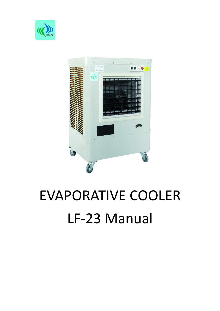



# EVAPORATIVE COOLER LF-23 Manual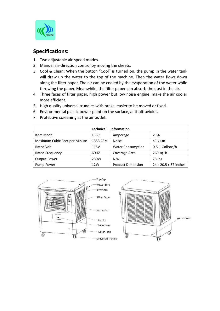

### **Specifications:**

- 1. Two adjustable air-speed modes.
- 2. Manual air-direction control by moving the sheets.
- 3. Cool & Clean: When the button "Cool" is turned on, the pump in the water tank will draw up the water to the top of the machine. Then the water flows down along the filter paper. The air can be cooled by the evaporation of the water while throwing the paper. Meanwhile, the filter paper can absorb the dust in the air.
- 4. Three faces of filter paper, high power but low noise engine, make the air cooler more efficient.
- 5. High quality universal trundles with brake, easier to be moved or fixed.
- 6. Environmental plastic power paint on the surface, anti-ultraviolet.
- 7. Protective screening at the air outlet.

|                               | <b>Information</b><br><b>Technical</b> |                          |                       |
|-------------------------------|----------------------------------------|--------------------------|-----------------------|
| Item Model                    | $LF-23$                                | Amperage                 | 2.3A                  |
| Maximum Cubic Feet per Minute | 1353 CFM                               | <b>Noise</b>             | $≤$ 60DB              |
| Rated Volt                    | 115V                                   | <b>Water Consumption</b> | 0.8-1 Gallons/h       |
| Rated Frequency               | 60HZ                                   | Coverage Area            | 269 sq. ft.           |
| <b>Output Power</b>           | 230W                                   | N.W.                     | 73 lbs                |
| Pump Power                    | 12W                                    | <b>Product Dimension</b> | 24 x 20.5 x 37 inches |

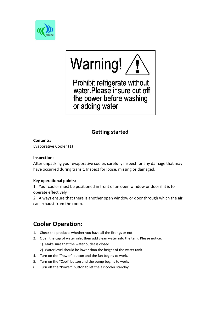

# Warning! /

Prohibit refrigerate without<br>water.Please insure cut off the power before washing or adding water

# **Getting started**

#### **Contents:**

Evaporative Cooler (1)

#### **Inspection:**

After unpacking your evaporative cooler, carefully inspect for any damage that may have occurred during transit. Inspect for loose, missing or damaged.

#### **Key operational points:**

1. Your cooler must be positioned in front of an open window or door ifit is to operate effectively.

2. Always ensure that there is another open window or door through which the air can exhaust from the room.

# **Cooler Operation:**

- 
- 1. Check the products whether you have all the fittings or not.<br>2. Open the cap of water inlet then add clean water into the tank. Please notice: 1). Make sure that the water outlet is closed.
	- 2). Water level should be lower than the height of the water tank.
- 4. Turn on the "Power" button and the fan begins to work.
- 5. Turn on the "Cool" button and the pump begins to work.
- 6. Turn off the "Power" button to let the air cooler standby.